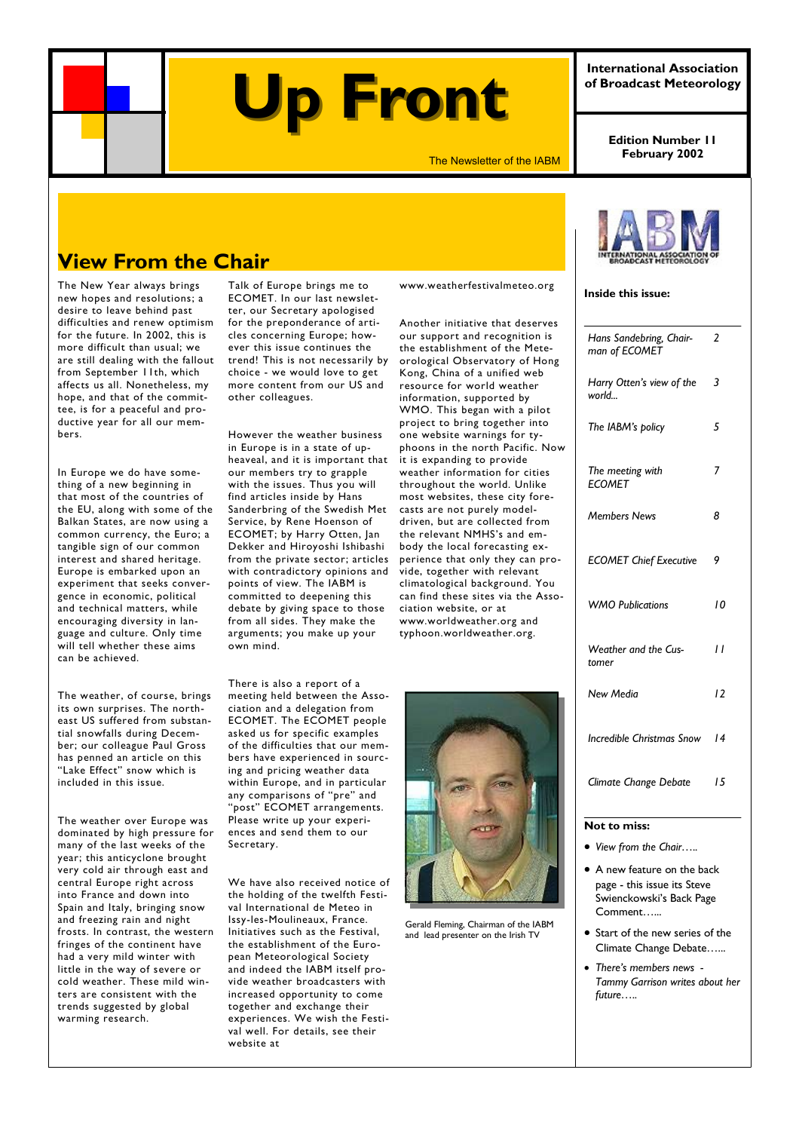## **Up Front Up Front**

The Newsletter of the IABM **February 2002** 

**Edition Number 11** 

**International Association of Broadcast Meteorology** 

## **View From the Chair**

The New Year always brings new hopes and resolutions; a desire to leave behind past difficulties and renew optimism for the future. In 2002, this is more difficult than usual; we are still dealing with the fallout from September 11th, which affects us all. Nonetheless, my hope, and that of the committee, is for a peaceful and productive year for all our members.

In Europe we do have something of a new beginning in that most of the countries of the EU, along with some of the Balkan States, are now using a common currency, the Euro; a tangible sign of our common interest and shared heritage. Europe is embarked upon an experiment that seeks convergence in economic, political and technical matters, while encouraging diversity in language and culture. Only time will tell whether these aims can be achieved.

The weather, of course, brings its own surprises. The northeast US suffered from substantial snowfalls during December; our colleague Paul Gross has penned an article on this "Lake Effect" snow which is included in this issue.

The weather over Europe was dominated by high pressure for many of the last weeks of the year; this anticyclone brought very cold air through east and central Europe right across into France and down into Spain and Italy, bringing snow and freezing rain and night frosts. In contrast, the western fringes of the continent have had a very mild winter with little in the way of severe or cold weather. These mild winters are consistent with the trends suggested by global warming research.

Talk of Europe brings me to ECOMET. In our last newsletter, our Secretary apologised for the preponderance of articles concerning Europe; however this issue continues the trend! This is not necessarily by choice - we would love to get more content from our US and other colleagues.

However the weather business in Europe is in a state of upheaveal, and it is important that our members try to grapple with the issues. Thus you will find articles inside by Hans Sanderbring of the Swedish Met Service, by Rene Hoenson of ECOMET; by Harry Otten, Jan Dekker and Hiroyoshi Ishibashi from the private sector; articles with contradictory opinions and points of view. The IABM is committed to deepening this debate by giving space to those from all sides. They make the arguments; you make up your own mind.

There is also a report of a meeting held between the Association and a delegation from ECOMET. The ECOMET people asked us for specific examples of the difficulties that our members have experienced in sourcing and pricing weather data within Europe, and in particular any comparisons of "pre" and "post" ECOMET arrangements. Please write up your experiences and send them to our Secretary.

We have also received notice of the holding of the twelfth Festival International de Meteo in Issy-les-Moulineaux, France. Initiatives such as the Festival, the establishment of the European Meteorological Society and indeed the IABM itself provide weather broadcasters with increased opportunity to come together and exchange their experiences. We wish the Festival well. For details, see their website at

www.weatherfestivalmeteo.org

Another initiative that deserves our support and recognition is the establishment of the Meteorological Observatory of Hong Kong, China of a unified web resource for world weather information, supported by WMO. This began with a pilot project to bring together into one website warnings for typhoons in the north Pacific. Now it is expanding to provide weather information for cities throughout the world. Unlike most websites, these city forecasts are not purely modeldriven, but are collected from the relevant NMHS's and embody the local forecasting experience that only they can provide, together with relevant climatological background. You can find these sites via the Association website, or at www.worldweather.org and typhoon.worldweather.org.



Gerald Fleming, Chairman of the IABM and lead presenter on the Irish TV



#### **Inside this issue:**

| Climate Change Debate                    | 15 |
|------------------------------------------|----|
| <b>Incredible Christmas Snow</b>         | 14 |
| <b>New Media</b>                         | 12 |
| Weather and the Cus-<br>tomer            | H  |
| <b>WMO Publications</b>                  | 10 |
| <b>ECOMET Chief Executive</b>            | 9  |
| <b>Members News</b>                      | 8  |
| The meeting with<br><b>ECOMET</b>        | 7  |
| The IABM's policy                        | 5  |
| Harry Otten's view of the<br>world       | 3  |
| Hans Sandebring, Chair-<br>man of ECOMET | 2  |

- *View from the Chair…..*
- A new feature on the back page - this issue its Steve Swienckowski's Back Page Comment…...
- Start of the new series of the Climate Change Debate…...
- *There's members news Tammy Garrison writes about her future…..*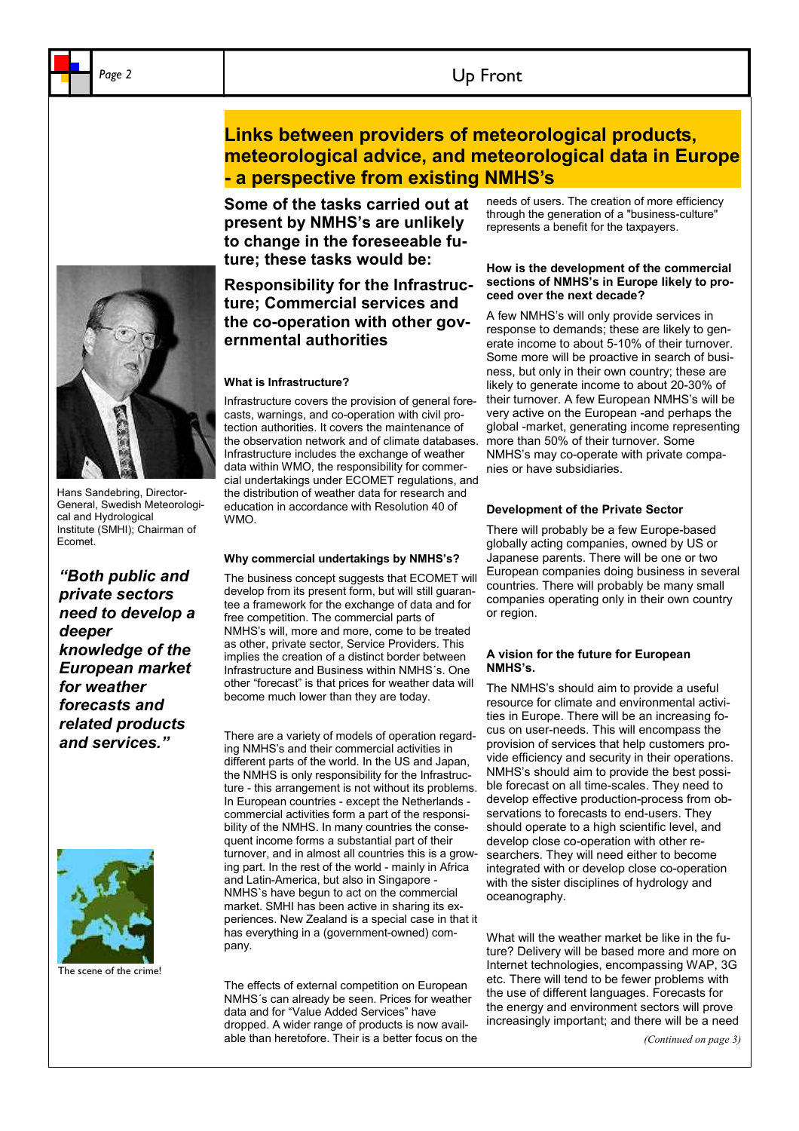## Page 2 and 2 and 2 and 2 and 2 and 2 and 2 and 2 and 2 and 2 and 2 and 2 and 2 and 2 and 2 and 2 and 2 and 2 and 2 and 2 and 2 and 2 and 2 and 2 and 2 and 2 and 2 and 2 and 2 and 2 and 2 and 2 and 2 and 2 and 2 and 2 and 2

**Some of the tasks carried out at present by NMHS's are unlikely to change in the foreseeable future; these tasks would be:** 

## **Responsibility for the Infrastructure; Commercial services and the co-operation with other governmental authorities**

#### **What is Infrastructure?**

Infrastructure covers the provision of general forecasts, warnings, and co-operation with civil protection authorities. It covers the maintenance of the observation network and of climate databases. Infrastructure includes the exchange of weather data within WMO, the responsibility for commercial undertakings under ECOMET regulations, and the distribution of weather data for research and education in accordance with Resolution 40 of WMO.

#### **Why commercial undertakings by NMHS's?**

The business concept suggests that ECOMET will develop from its present form, but will still guarantee a framework for the exchange of data and for free competition. The commercial parts of NMHS's will, more and more, come to be treated as other, private sector, Service Providers. This implies the creation of a distinct border between Infrastructure and Business within NMHS´s. One other "forecast" is that prices for weather data will become much lower than they are today.

There are a variety of models of operation regarding NMHS's and their commercial activities in different parts of the world. In the US and Japan, the NMHS is only responsibility for the Infrastructure - this arrangement is not without its problems. In European countries - except the Netherlands commercial activities form a part of the responsibility of the NMHS. In many countries the consequent income forms a substantial part of their turnover, and in almost all countries this is a growing part. In the rest of the world - mainly in Africa and Latin-America, but also in Singapore - NMHS`s have begun to act on the commercial market. SMHI has been active in sharing its experiences. New Zealand is a special case in that it has everything in a (government-owned) company.

The effects of external competition on European NMHS´s can already be seen. Prices for weather data and for "Value Added Services" have dropped. A wider range of products is now available than heretofore. Their is a better focus on the needs of users. The creation of more efficiency through the generation of a "business-culture" represents a benefit for the taxpayers.

#### **How is the development of the commercial sections of NMHS's in Europe likely to proceed over the next decade?**

A few NMHS's will only provide services in response to demands; these are likely to generate income to about 5-10% of their turnover. Some more will be proactive in search of business, but only in their own country; these are likely to generate income to about 20-30% of their turnover. A few European NMHS's will be very active on the European -and perhaps the global -market, generating income representing more than 50% of their turnover. Some NMHS's may co-operate with private companies or have subsidiaries.

#### **Development of the Private Sector**

There will probably be a few Europe-based globally acting companies, owned by US or Japanese parents. There will be one or two European companies doing business in several countries. There will probably be many small companies operating only in their own country or region.

#### **A vision for the future for European NMHS's.**

The NMHS's should aim to provide a useful resource for climate and environmental activities in Europe. There will be an increasing focus on user-needs. This will encompass the provision of services that help customers provide efficiency and security in their operations. NMHS's should aim to provide the best possible forecast on all time-scales. They need to develop effective production-process from observations to forecasts to end-users. They should operate to a high scientific level, and develop close co-operation with other researchers. They will need either to become integrated with or develop close co-operation with the sister disciplines of hydrology and oceanography.

What will the weather market be like in the future? Delivery will be based more and more on Internet technologies, encompassing WAP, 3G etc. There will tend to be fewer problems with the use of different languages. Forecasts for the energy and environment sectors will prove increasingly important; and there will be a need

*(Continued on page 3)* 



General, Swedish Meteorological and Hydrological Institute (SMHI); Chairman of Ecomet.

*"Both public and private sectors need to develop a deeper knowledge of the European market for weather forecasts and related products and services."* 



The scene of the crime!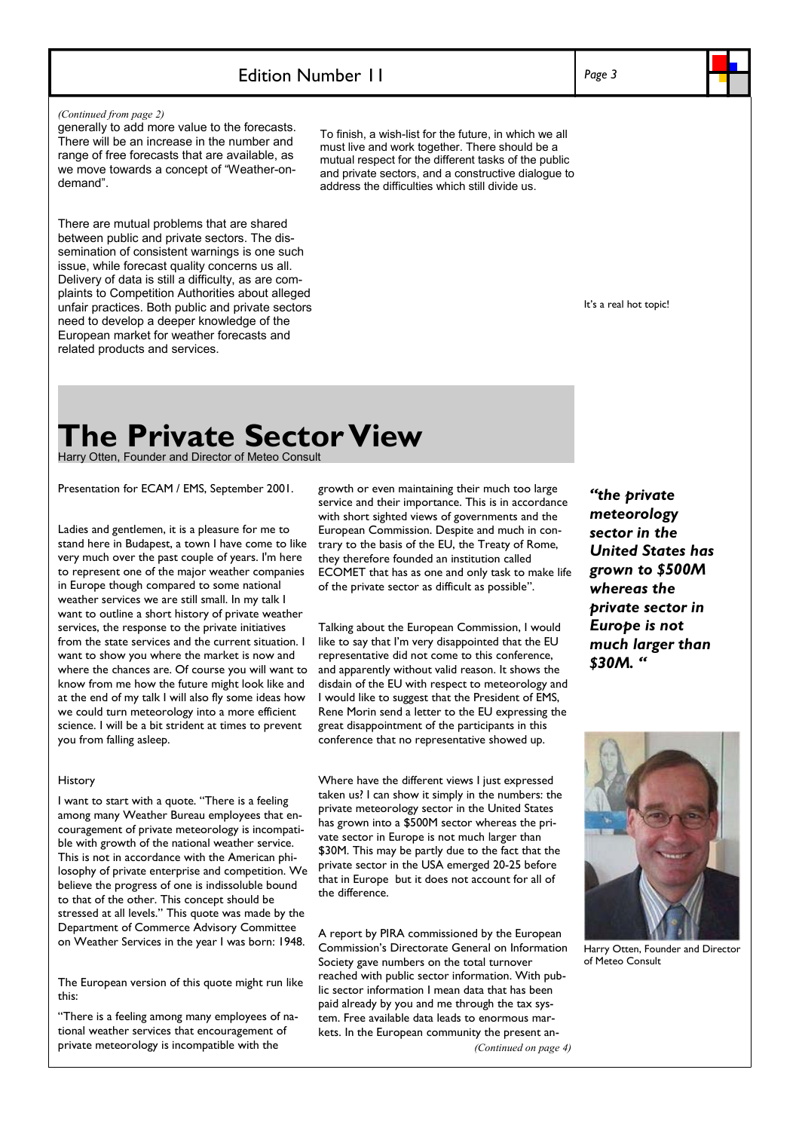## Edition Number 11

*Page 3* 

#### *(Continued from page 2)*

generally to add more value to the forecasts. There will be an increase in the number and range of free forecasts that are available, as we move towards a concept of "Weather-ondemand".

There are mutual problems that are shared between public and private sectors. The dissemination of consistent warnings is one such issue, while forecast quality concerns us all. Delivery of data is still a difficulty, as are complaints to Competition Authorities about alleged unfair practices. Both public and private sectors need to develop a deeper knowledge of the European market for weather forecasts and related products and services.

To finish, a wish-list for the future, in which we all must live and work together. There should be a mutual respect for the different tasks of the public and private sectors, and a constructive dialogue to address the difficulties which still divide us.

It's a real hot topic!

## **The Private Sector View**

Harry Otten, Founder and Director of Meteo Consult

Presentation for ECAM / EMS, September 2001.

Ladies and gentlemen, it is a pleasure for me to stand here in Budapest, a town I have come to like very much over the past couple of years. I'm here to represent one of the major weather companies in Europe though compared to some national weather services we are still small. In my talk I want to outline a short history of private weather services, the response to the private initiatives from the state services and the current situation. I want to show you where the market is now and where the chances are. Of course you will want to know from me how the future might look like and at the end of my talk I will also fly some ideas how we could turn meteorology into a more efficient science. I will be a bit strident at times to prevent you from falling asleep.

#### History

I want to start with a quote. "There is a feeling among many Weather Bureau employees that encouragement of private meteorology is incompatible with growth of the national weather service. This is not in accordance with the American philosophy of private enterprise and competition. We believe the progress of one is indissoluble bound to that of the other. This concept should be stressed at all levels." This quote was made by the Department of Commerce Advisory Committee on Weather Services in the year I was born: 1948.

The European version of this quote might run like this:

"There is a feeling among many employees of national weather services that encouragement of private meteorology is incompatible with the

growth or even maintaining their much too large service and their importance. This is in accordance with short sighted views of governments and the European Commission. Despite and much in contrary to the basis of the EU, the Treaty of Rome, they therefore founded an institution called ECOMET that has as one and only task to make life of the private sector as difficult as possible".

Talking about the European Commission, I would like to say that I'm very disappointed that the EU representative did not come to this conference, and apparently without valid reason. It shows the disdain of the EU with respect to meteorology and I would like to suggest that the President of EMS, Rene Morin send a letter to the EU expressing the great disappointment of the participants in this conference that no representative showed up.

Where have the different views I just expressed taken us? I can show it simply in the numbers: the private meteorology sector in the United States has grown into a \$500M sector whereas the private sector in Europe is not much larger than \$30M. This may be partly due to the fact that the private sector in the USA emerged 20-25 before that in Europe but it does not account for all of the difference.

A report by PIRA commissioned by the European Commission's Directorate General on Information Society gave numbers on the total turnover reached with public sector information. With public sector information I mean data that has been paid already by you and me through the tax system. Free available data leads to enormous markets. In the European community the present an- *(Continued on page 4)* 

*"the private meteorology sector in the United States has grown to \$500M whereas the private sector in Europe is not much larger than \$30M. "* 



Harry Otten, Founder and Director of Meteo Consult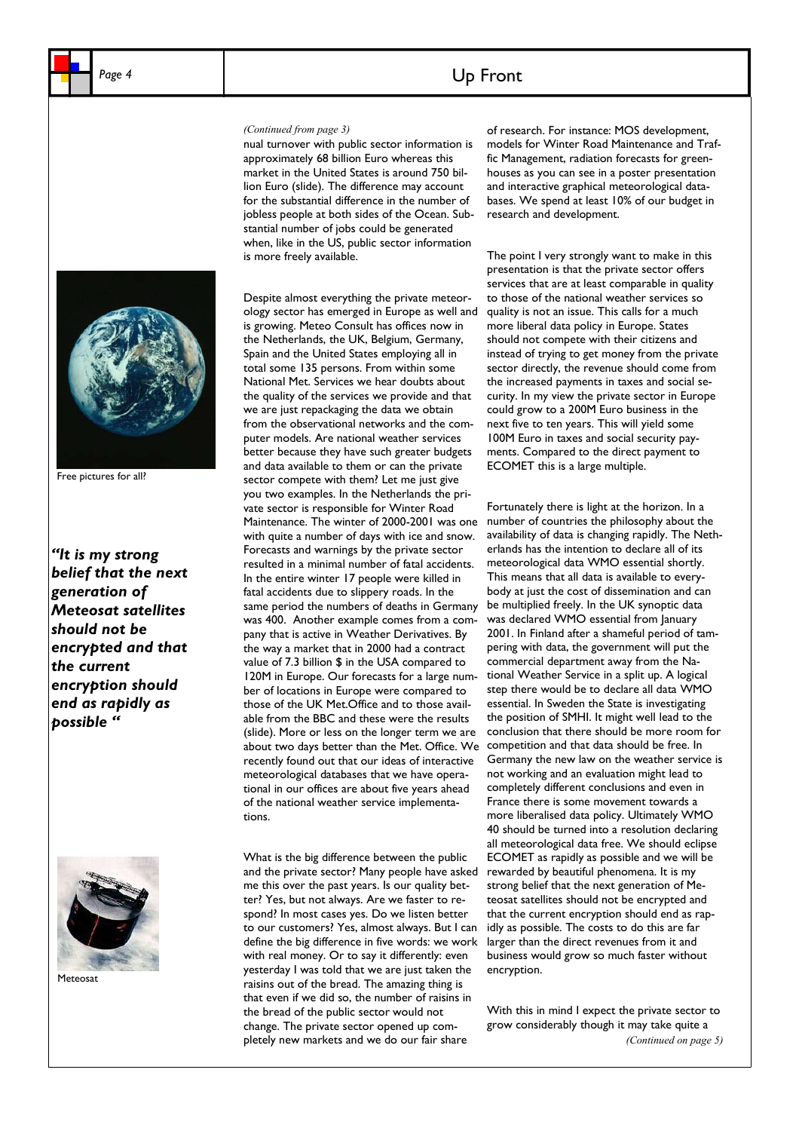## Page 4 **Up Front**

#### *(Continued from page 3)*

nual turnover with public sector information is approximately 68 billion Euro whereas this market in the United States is around 750 billion Euro (slide). The difference may account for the substantial difference in the number of jobless people at both sides of the Ocean. Substantial number of jobs could be generated when, like in the US, public sector information is more freely available.



Free pictures for all?

*"It is my strong belief that the next generation of Meteosat satellites should not be encrypted and that the current encryption should end as rapidly as possible "* 



**Meteosat** 

Despite almost everything the private meteorology sector has emerged in Europe as well and is growing. Meteo Consult has offices now in the Netherlands, the UK, Belgium, Germany, Spain and the United States employing all in total some 135 persons. From within some National Met. Services we hear doubts about the quality of the services we provide and that we are just repackaging the data we obtain from the observational networks and the computer models. Are national weather services better because they have such greater budgets and data available to them or can the private sector compete with them? Let me just give you two examples. In the Netherlands the private sector is responsible for Winter Road Maintenance. The winter of 2000-2001 was one with quite a number of days with ice and snow. Forecasts and warnings by the private sector resulted in a minimal number of fatal accidents. In the entire winter 17 people were killed in fatal accidents due to slippery roads. In the same period the numbers of deaths in Germany was 400. Another example comes from a company that is active in Weather Derivatives. By the way a market that in 2000 had a contract value of 7.3 billion \$ in the USA compared to 120M in Europe. Our forecasts for a large number of locations in Europe were compared to those of the UK Met.Office and to those available from the BBC and these were the results (slide). More or less on the longer term we are about two days better than the Met. Office. We recently found out that our ideas of interactive meteorological databases that we have operational in our offices are about five years ahead of the national weather service implementations.

What is the big difference between the public and the private sector? Many people have asked me this over the past years. Is our quality better? Yes, but not always. Are we faster to respond? In most cases yes. Do we listen better to our customers? Yes, almost always. But I can define the big difference in five words: we work with real money. Or to say it differently: even yesterday I was told that we are just taken the raisins out of the bread. The amazing thing is that even if we did so, the number of raisins in the bread of the public sector would not change. The private sector opened up completely new markets and we do our fair share

of research. For instance: MOS development, models for Winter Road Maintenance and Traffic Management, radiation forecasts for greenhouses as you can see in a poster presentation and interactive graphical meteorological databases. We spend at least 10% of our budget in research and development.

#### The point I very strongly want to make in this presentation is that the private sector offers services that are at least comparable in quality to those of the national weather services so quality is not an issue. This calls for a much more liberal data policy in Europe. States should not compete with their citizens and instead of trying to get money from the private sector directly, the revenue should come from the increased payments in taxes and social security. In my view the private sector in Europe could grow to a 200M Euro business in the next five to ten years. This will yield some 100M Euro in taxes and social security payments. Compared to the direct payment to ECOMET this is a large multiple.

Fortunately there is light at the horizon. In a number of countries the philosophy about the availability of data is changing rapidly. The Netherlands has the intention to declare all of its meteorological data WMO essential shortly. This means that all data is available to everybody at just the cost of dissemination and can be multiplied freely. In the UK synoptic data was declared WMO essential from January 2001. In Finland after a shameful period of tampering with data, the government will put the commercial department away from the National Weather Service in a split up. A logical step there would be to declare all data WMO essential. In Sweden the State is investigating the position of SMHI. It might well lead to the conclusion that there should be more room for competition and that data should be free. In Germany the new law on the weather service is not working and an evaluation might lead to completely different conclusions and even in France there is some movement towards a more liberalised data policy. Ultimately WMO 40 should be turned into a resolution declaring all meteorological data free. We should eclipse ECOMET as rapidly as possible and we will be rewarded by beautiful phenomena. It is my strong belief that the next generation of Meteosat satellites should not be encrypted and that the current encryption should end as rapidly as possible. The costs to do this are far larger than the direct revenues from it and business would grow so much faster without encryption.

With this in mind I expect the private sector to grow considerably though it may take quite a *(Continued on page 5)*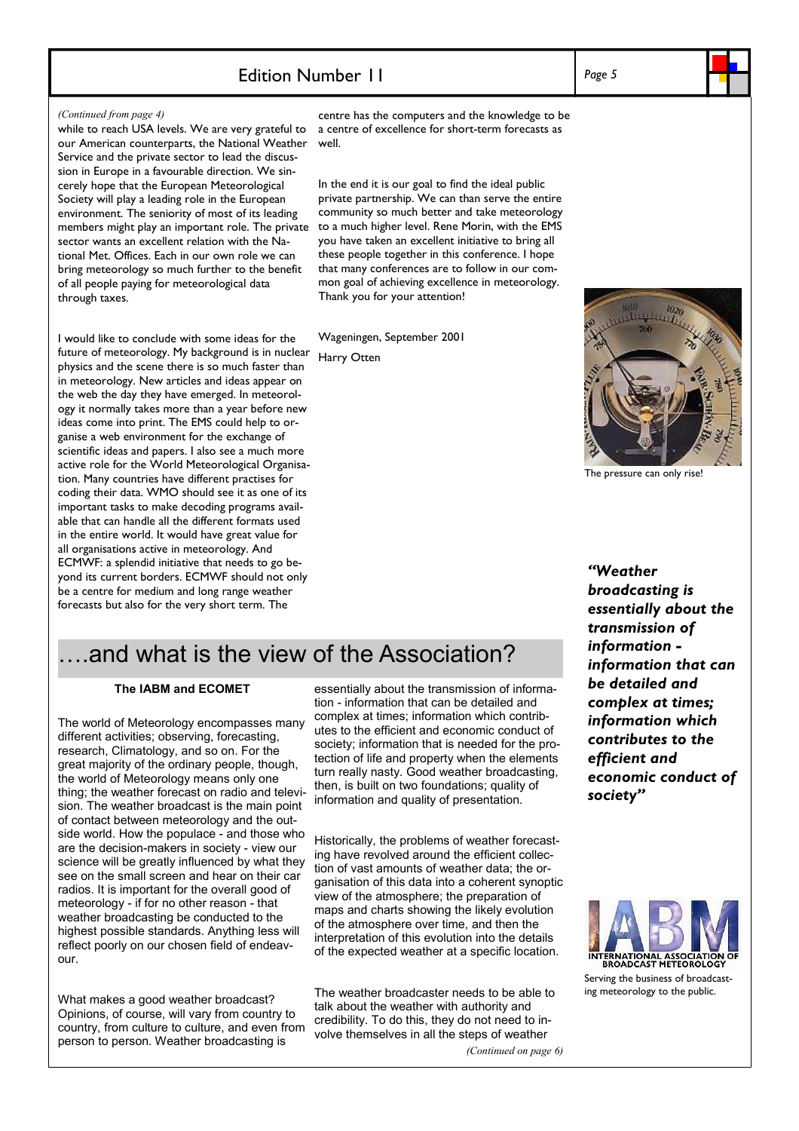## Edition Number 11

#### *(Continued from page 4)*

while to reach USA levels. We are very grateful to our American counterparts, the National Weather Service and the private sector to lead the discussion in Europe in a favourable direction. We sincerely hope that the European Meteorological Society will play a leading role in the European environment. The seniority of most of its leading members might play an important role. The private sector wants an excellent relation with the National Met. Offices. Each in our own role we can bring meteorology so much further to the benefit of all people paying for meteorological data through taxes.

I would like to conclude with some ideas for the future of meteorology. My background is in nuclear physics and the scene there is so much faster than in meteorology. New articles and ideas appear on the web the day they have emerged. In meteorology it normally takes more than a year before new ideas come into print. The EMS could help to organise a web environment for the exchange of scientific ideas and papers. I also see a much more active role for the World Meteorological Organisation. Many countries have different practises for coding their data. WMO should see it as one of its important tasks to make decoding programs available that can handle all the different formats used in the entire world. It would have great value for all organisations active in meteorology. And ECMWF: a splendid initiative that needs to go beyond its current borders. ECMWF should not only be a centre for medium and long range weather forecasts but also for the very short term. The

centre has the computers and the knowledge to be a centre of excellence for short-term forecasts as well.

In the end it is our goal to find the ideal public private partnership. We can than serve the entire community so much better and take meteorology to a much higher level. Rene Morin, with the EMS you have taken an excellent initiative to bring all these people together in this conference. I hope that many conferences are to follow in our common goal of achieving excellence in meteorology. Thank you for your attention!

Wageningen, September 2001 Harry Otten



The pressure can only rise!

*"Weather broadcasting is essentially about the transmission of information information that can be detailed and complex at times; information which contributes to the efficient and economic conduct of society"* 

## ….and what is the view of the Association?

#### **The IABM and ECOMET**

The world of Meteorology encompasses many different activities; observing, forecasting, research, Climatology, and so on. For the great majority of the ordinary people, though, the world of Meteorology means only one thing; the weather forecast on radio and television. The weather broadcast is the main point of contact between meteorology and the outside world. How the populace - and those who are the decision-makers in society - view our science will be greatly influenced by what they see on the small screen and hear on their car radios. It is important for the overall good of meteorology - if for no other reason - that weather broadcasting be conducted to the highest possible standards. Anything less will reflect poorly on our chosen field of endeavour.

What makes a good weather broadcast? Opinions, of course, will vary from country to country, from culture to culture, and even from person to person. Weather broadcasting is

essentially about the transmission of information - information that can be detailed and complex at times; information which contributes to the efficient and economic conduct of society; information that is needed for the protection of life and property when the elements turn really nasty. Good weather broadcasting, then, is built on two foundations; quality of information and quality of presentation.

Historically, the problems of weather forecasting have revolved around the efficient collection of vast amounts of weather data; the organisation of this data into a coherent synoptic view of the atmosphere; the preparation of maps and charts showing the likely evolution of the atmosphere over time, and then the interpretation of this evolution into the details of the expected weather at a specific location.

The weather broadcaster needs to be able to talk about the weather with authority and credibility. To do this, they do not need to involve themselves in all the steps of weather

*(Continued on page 6)* 



Serving the business of broadcasting meteorology to the public.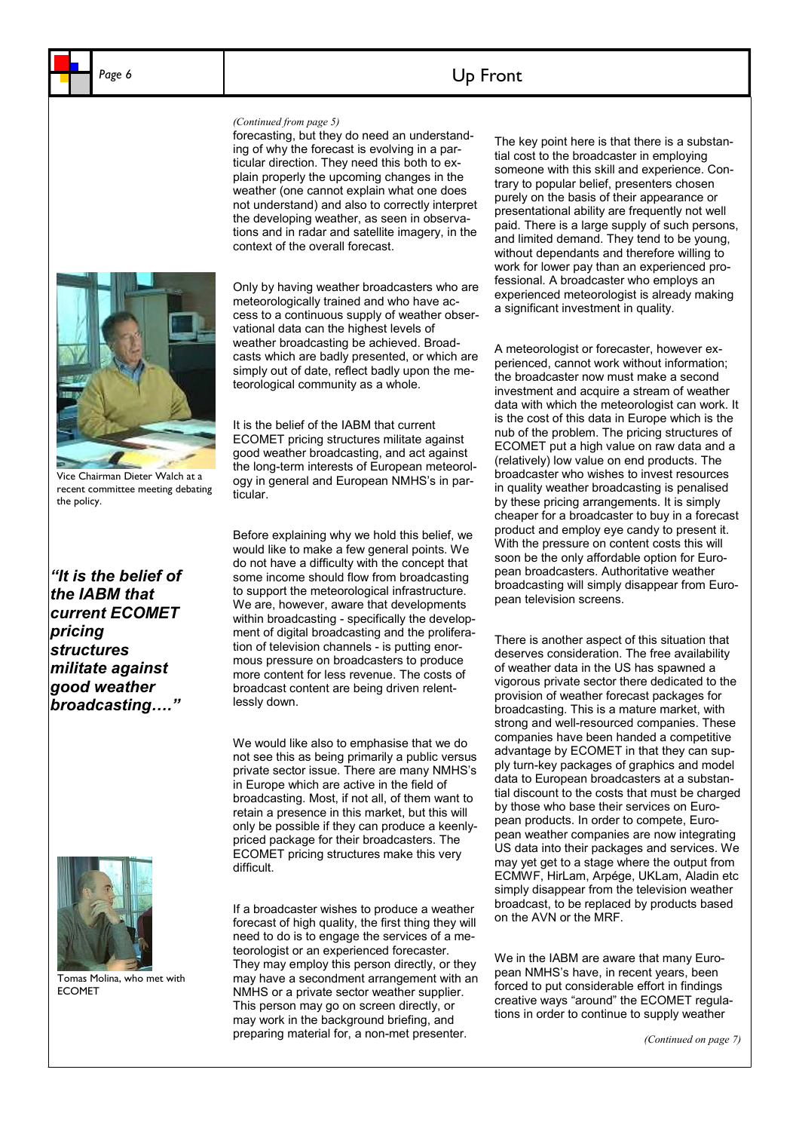## Page 6 **b 1 Up Front**

#### *(Continued from page 5)*

forecasting, but they do need an understanding of why the forecast is evolving in a particular direction. They need this both to explain properly the upcoming changes in the weather (one cannot explain what one does not understand) and also to correctly interpret the developing weather, as seen in observations and in radar and satellite imagery, in the context of the overall forecast.



Vice Chairman Dieter Walch at a recent committee meeting debating

the policy.

Only by having weather broadcasters who are meteorologically trained and who have access to a continuous supply of weather observational data can the highest levels of weather broadcasting be achieved. Broadcasts which are badly presented, or which are simply out of date, reflect badly upon the meteorological community as a whole.

It is the belief of the IABM that current ECOMET pricing structures militate against good weather broadcasting, and act against the long-term interests of European meteorology in general and European NMHS's in particular.

*"It is the belief of the IABM that current ECOMET pricing structures militate against good weather broadcasting…."* 



Tomas Molina, who met with ECOMET

Before explaining why we hold this belief, we would like to make a few general points. We do not have a difficulty with the concept that some income should flow from broadcasting to support the meteorological infrastructure. We are, however, aware that developments within broadcasting - specifically the development of digital broadcasting and the proliferation of television channels - is putting enormous pressure on broadcasters to produce more content for less revenue. The costs of broadcast content are being driven relentlessly down.

We would like also to emphasise that we do not see this as being primarily a public versus private sector issue. There are many NMHS's in Europe which are active in the field of broadcasting. Most, if not all, of them want to retain a presence in this market, but this will only be possible if they can produce a keenlypriced package for their broadcasters. The ECOMET pricing structures make this very difficult.

If a broadcaster wishes to produce a weather forecast of high quality, the first thing they will need to do is to engage the services of a meteorologist or an experienced forecaster. They may employ this person directly, or they may have a secondment arrangement with an NMHS or a private sector weather supplier. This person may go on screen directly, or may work in the background briefing, and preparing material for, a non-met presenter.

The key point here is that there is a substantial cost to the broadcaster in employing someone with this skill and experience. Contrary to popular belief, presenters chosen purely on the basis of their appearance or presentational ability are frequently not well paid. There is a large supply of such persons, and limited demand. They tend to be young, without dependants and therefore willing to work for lower pay than an experienced professional. A broadcaster who employs an experienced meteorologist is already making a significant investment in quality.

A meteorologist or forecaster, however experienced, cannot work without information; the broadcaster now must make a second investment and acquire a stream of weather data with which the meteorologist can work. It is the cost of this data in Europe which is the nub of the problem. The pricing structures of ECOMET put a high value on raw data and a (relatively) low value on end products. The broadcaster who wishes to invest resources in quality weather broadcasting is penalised by these pricing arrangements. It is simply cheaper for a broadcaster to buy in a forecast product and employ eye candy to present it. With the pressure on content costs this will soon be the only affordable option for European broadcasters. Authoritative weather broadcasting will simply disappear from European television screens.

There is another aspect of this situation that deserves consideration. The free availability of weather data in the US has spawned a vigorous private sector there dedicated to the provision of weather forecast packages for broadcasting. This is a mature market, with strong and well-resourced companies. These companies have been handed a competitive advantage by ECOMET in that they can supply turn-key packages of graphics and model data to European broadcasters at a substantial discount to the costs that must be charged by those who base their services on European products. In order to compete, European weather companies are now integrating US data into their packages and services. We may yet get to a stage where the output from ECMWF, HirLam, Arpége, UKLam, Aladin etc simply disappear from the television weather broadcast, to be replaced by products based on the AVN or the MRF.

We in the IABM are aware that many European NMHS's have, in recent years, been forced to put considerable effort in findings creative ways "around" the ECOMET regulations in order to continue to supply weather

*(Continued on page 7)*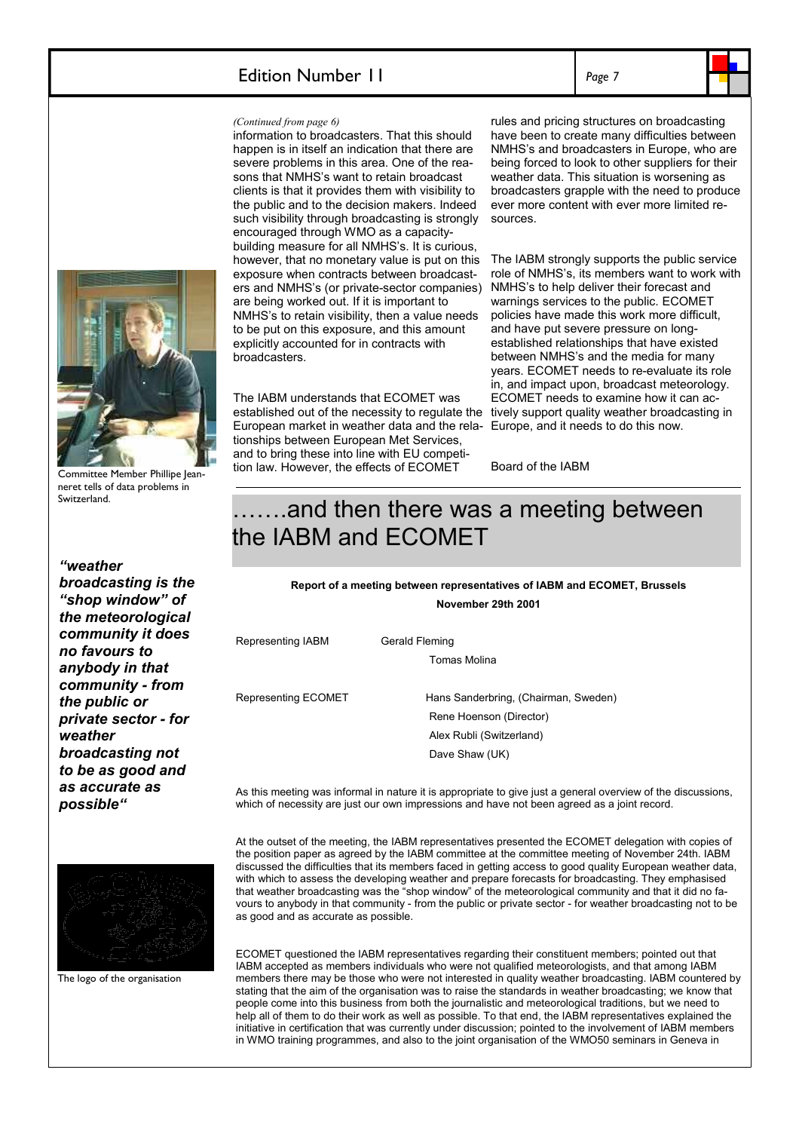### Edition Number 11

*Page 7* 



#### *(Continued from page 6)*

information to broadcasters. That this should happen is in itself an indication that there are severe problems in this area. One of the reasons that NMHS's want to retain broadcast clients is that it provides them with visibility to the public and to the decision makers. Indeed such visibility through broadcasting is strongly encouraged through WMO as a capacitybuilding measure for all NMHS's. It is curious, however, that no monetary value is put on this exposure when contracts between broadcasters and NMHS's (or private-sector companies) are being worked out. If it is important to NMHS's to retain visibility, then a value needs to be put on this exposure, and this amount explicitly accounted for in contracts with broadcasters.

The IABM understands that ECOMET was established out of the necessity to regulate the tively support quality weather broadcasting in European market in weather data and the rela- Europe, and it needs to do this now. tionships between European Met Services, and to bring these into line with EU competition law. However, the effects of ECOMET

rules and pricing structures on broadcasting have been to create many difficulties between NMHS's and broadcasters in Europe, who are being forced to look to other suppliers for their weather data. This situation is worsening as broadcasters grapple with the need to produce ever more content with ever more limited resources.

The IABM strongly supports the public service role of NMHS's, its members want to work with NMHS's to help deliver their forecast and warnings services to the public. ECOMET policies have made this work more difficult, and have put severe pressure on longestablished relationships that have existed between NMHS's and the media for many years. ECOMET needs to re-evaluate its role in, and impact upon, broadcast meteorology. ECOMET needs to examine how it can ac-

Board of the IABM

## …….and then there was a meeting between the IABM and ECOMET

**Report of a meeting between representatives of IABM and ECOMET, Brussels** 

**November 29th 2001** 

Representing IABM Gerald Fleming

Tomas Molina

Representing ECOMET Hans Sanderbring, (Chairman, Sweden) Rene Hoenson (Director) Alex Rubli (Switzerland) Dave Shaw (UK)

As this meeting was informal in nature it is appropriate to give just a general overview of the discussions, which of necessity are just our own impressions and have not been agreed as a joint record.

At the outset of the meeting, the IABM representatives presented the ECOMET delegation with copies of the position paper as agreed by the IABM committee at the committee meeting of November 24th. IABM discussed the difficulties that its members faced in getting access to good quality European weather data, with which to assess the developing weather and prepare forecasts for broadcasting. They emphasised that weather broadcasting was the "shop window" of the meteorological community and that it did no favours to anybody in that community - from the public or private sector - for weather broadcasting not to be as good and as accurate as possible.

ECOMET questioned the IABM representatives regarding their constituent members; pointed out that IABM accepted as members individuals who were not qualified meteorologists, and that among IABM members there may be those who were not interested in quality weather broadcasting. IABM countered by stating that the aim of the organisation was to raise the standards in weather broadcasting; we know that people come into this business from both the journalistic and meteorological traditions, but we need to help all of them to do their work as well as possible. To that end, the IABM representatives explained the initiative in certification that was currently under discussion; pointed to the involvement of IABM members in WMO training programmes, and also to the joint organisation of the WMO50 seminars in Geneva in



Committee Member Phillipe Jeanneret tells of data problems in Switzerland.

*"weather broadcasting is the "shop window" of the meteorological community it does no favours to anybody in that community - from the public or private sector - for weather broadcasting not to be as good and as accurate as possible"*



The logo of the organisation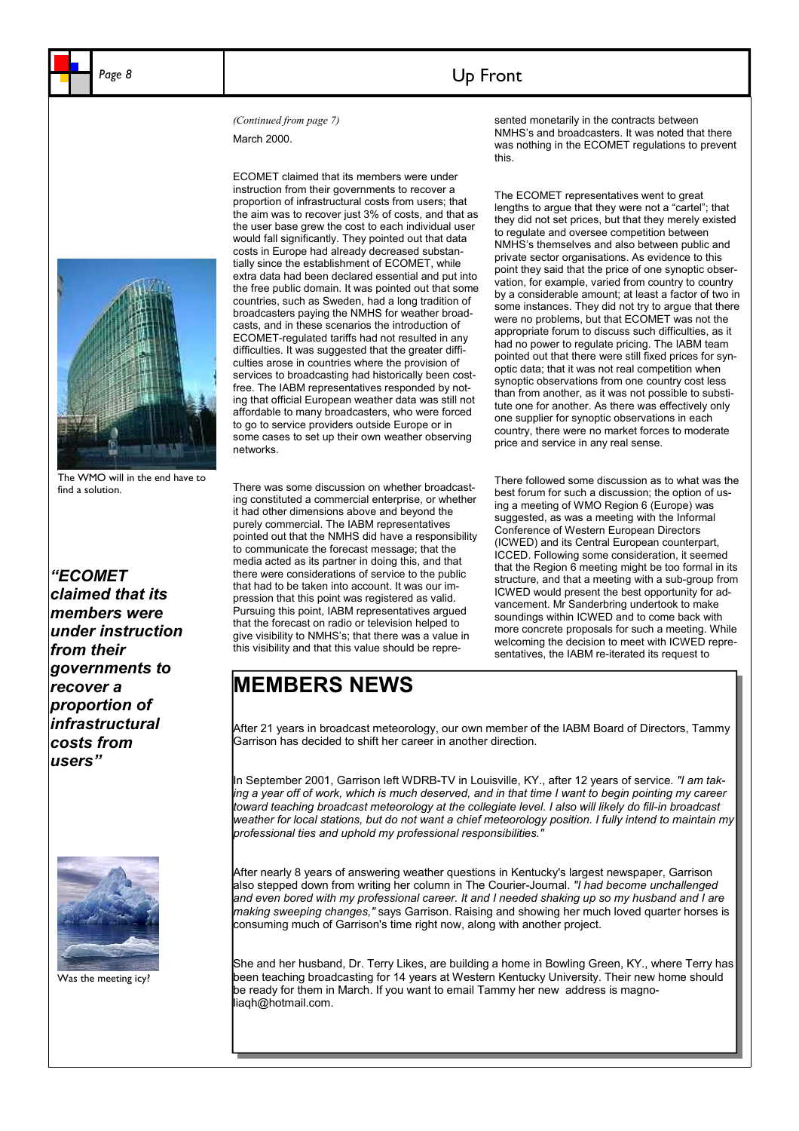## Page 8 **Up Front**

March 2000.



The WMO will in the end have to find a solution.

*"ECOMET claimed that its members were under instruction from their governments to recover a proportion of infrastructural costs from users"*



Was the meeting icy?

ECOMET claimed that its members were under instruction from their governments to recover a proportion of infrastructural costs from users; that the aim was to recover just 3% of costs, and that as the user base grew the cost to each individual user would fall significantly. They pointed out that data costs in Europe had already decreased substantially since the establishment of ECOMET, while extra data had been declared essential and put into the free public domain. It was pointed out that some countries, such as Sweden, had a long tradition of broadcasters paying the NMHS for weather broadcasts, and in these scenarios the introduction of ECOMET-regulated tariffs had not resulted in any difficulties. It was suggested that the greater difficulties arose in countries where the provision of services to broadcasting had historically been costfree. The IABM representatives responded by noting that official European weather data was still not affordable to many broadcasters, who were forced to go to service providers outside Europe or in some cases to set up their own weather observing networks.

There was some discussion on whether broadcasting constituted a commercial enterprise, or whether it had other dimensions above and beyond the purely commercial. The IABM representatives pointed out that the NMHS did have a responsibility to communicate the forecast message; that the media acted as its partner in doing this, and that there were considerations of service to the public that had to be taken into account. It was our impression that this point was registered as valid. Pursuing this point, IABM representatives argued that the forecast on radio or television helped to give visibility to NMHS's; that there was a value in this visibility and that this value should be repre-

*(Continued from page 7)* sented monetarily in the contracts between NMHS's and broadcasters. It was noted that there was nothing in the ECOMET regulations to prevent this.

> The ECOMET representatives went to great lengths to argue that they were not a "cartel"; that they did not set prices, but that they merely existed to regulate and oversee competition between NMHS's themselves and also between public and private sector organisations. As evidence to this point they said that the price of one synoptic observation, for example, varied from country to country by a considerable amount; at least a factor of two in some instances. They did not try to argue that there were no problems, but that ECOMET was not the appropriate forum to discuss such difficulties, as it had no power to regulate pricing. The IABM team pointed out that there were still fixed prices for synoptic data; that it was not real competition when synoptic observations from one country cost less than from another, as it was not possible to substitute one for another. As there was effectively only one supplier for synoptic observations in each country, there were no market forces to moderate price and service in any real sense.

> There followed some discussion as to what was the best forum for such a discussion; the option of using a meeting of WMO Region 6 (Europe) was suggested, as was a meeting with the Informal Conference of Western European Directors (ICWED) and its Central European counterpart, ICCED. Following some consideration, it seemed that the Region 6 meeting might be too formal in its structure, and that a meeting with a sub-group from ICWED would present the best opportunity for advancement. Mr Sanderbring undertook to make soundings within ICWED and to come back with more concrete proposals for such a meeting. While welcoming the decision to meet with ICWED representatives, the IABM re-iterated its request to

## **MEMBERS NEWS**

After 21 years in broadcast meteorology, our own member of the IABM Board of Directors, Tammy Garrison has decided to shift her career in another direction.

In September 2001, Garrison left WDRB-TV in Louisville, KY., after 12 years of service*. "I am taking a year off of work, which is much deserved, and in that time I want to begin pointing my career toward teaching broadcast meteorology at the collegiate level. I also will likely do fill-in broadcast weather for local stations, but do not want a chief meteorology position. I fully intend to maintain my professional ties and uphold my professional responsibilities."* 

After nearly 8 years of answering weather questions in Kentucky's largest newspaper, Garrison also stepped down from writing her column in The Courier-Journal. *"I had become unchallenged and even bored with my professional career. It and I needed shaking up so my husband and I are making sweeping changes,"* says Garrison. Raising and showing her much loved quarter horses is consuming much of Garrison's time right now, along with another project.

She and her husband, Dr. Terry Likes, are building a home in Bowling Green, KY., where Terry has been teaching broadcasting for 14 years at Western Kentucky University. Their new home should be ready for them in March. If you want to email Tammy her new address is magnoliaqh@hotmail.com.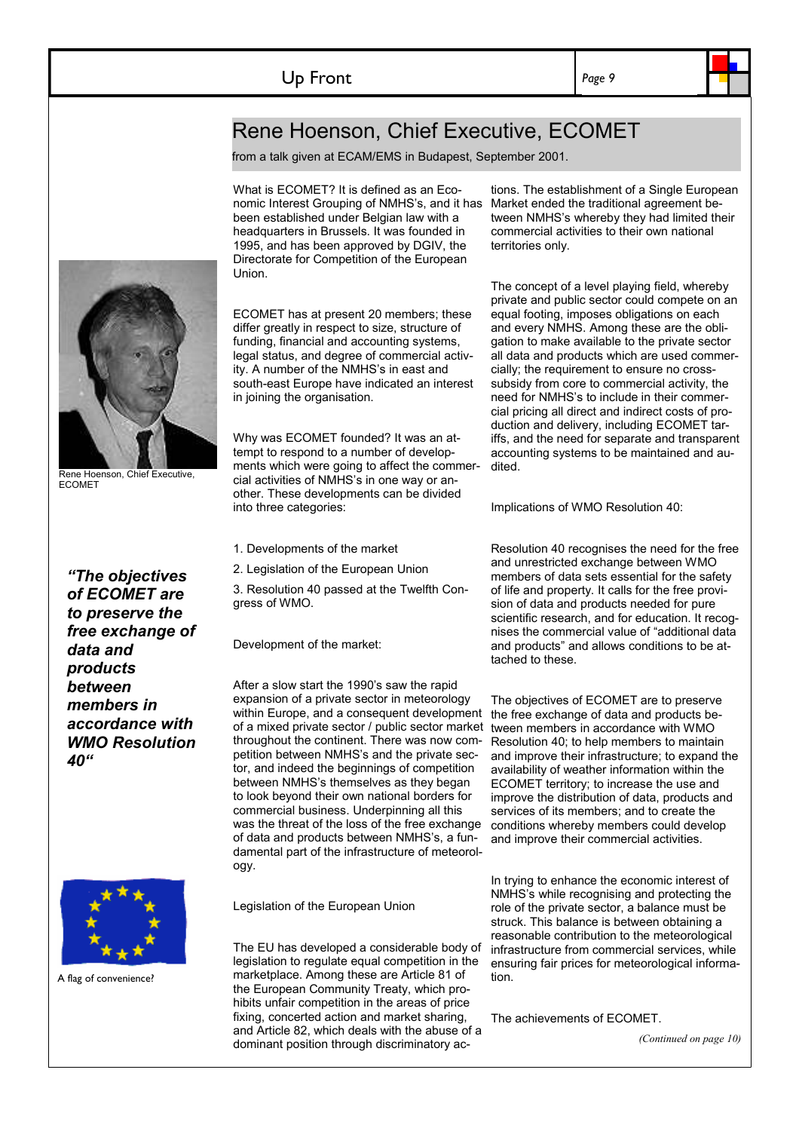*Page 9* 

## Rene Hoenson, Chief Executive, ECOMET

from a talk given at ECAM/EMS in Budapest, September 2001.

What is ECOMET? It is defined as an Economic Interest Grouping of NMHS's, and it has been established under Belgian law with a headquarters in Brussels. It was founded in 1995, and has been approved by DGIV, the Directorate for Competition of the European Union.

ECOMET has at present 20 members; these differ greatly in respect to size, structure of funding, financial and accounting systems, legal status, and degree of commercial activity. A number of the NMHS's in east and south-east Europe have indicated an interest in joining the organisation.

Why was ECOMET founded? It was an attempt to respond to a number of developments which were going to affect the commercial activities of NMHS's in one way or another. These developments can be divided into three categories:

- 1. Developments of the market
- 2. Legislation of the European Union

3. Resolution 40 passed at the Twelfth Congress of WMO.

Development of the market:

After a slow start the 1990's saw the rapid expansion of a private sector in meteorology within Europe, and a consequent development the free exchange of data and products beof a mixed private sector / public sector market tween members in accordance with WMO throughout the continent. There was now competition between NMHS's and the private sector, and indeed the beginnings of competition between NMHS's themselves as they began to look beyond their own national borders for commercial business. Underpinning all this was the threat of the loss of the free exchange of data and products between NMHS's, a fundamental part of the infrastructure of meteorology.

Legislation of the European Union

The EU has developed a considerable body of legislation to regulate equal competition in the marketplace. Among these are Article 81 of the European Community Treaty, which prohibits unfair competition in the areas of price fixing, concerted action and market sharing, and Article 82, which deals with the abuse of a dominant position through discriminatory ac-

tions. The establishment of a Single European Market ended the traditional agreement between NMHS's whereby they had limited their commercial activities to their own national territories only.

The concept of a level playing field, whereby private and public sector could compete on an equal footing, imposes obligations on each and every NMHS. Among these are the obligation to make available to the private sector all data and products which are used commercially; the requirement to ensure no crosssubsidy from core to commercial activity, the need for NMHS's to include in their commercial pricing all direct and indirect costs of production and delivery, including ECOMET tariffs, and the need for separate and transparent accounting systems to be maintained and audited.

Implications of WMO Resolution 40:

Resolution 40 recognises the need for the free and unrestricted exchange between WMO members of data sets essential for the safety of life and property. It calls for the free provision of data and products needed for pure scientific research, and for education. It recognises the commercial value of "additional data and products" and allows conditions to be attached to these.

The objectives of ECOMET are to preserve Resolution 40; to help members to maintain and improve their infrastructure; to expand the availability of weather information within the ECOMET territory; to increase the use and improve the distribution of data, products and services of its members; and to create the conditions whereby members could develop and improve their commercial activities.

In trying to enhance the economic interest of NMHS's while recognising and protecting the role of the private sector, a balance must be struck. This balance is between obtaining a reasonable contribution to the meteorological infrastructure from commercial services, while ensuring fair prices for meteorological information.

The achievements of ECOMET.

*(Continued on page 10)* 

*"The objectives of ECOMET are to preserve the free exchange of data and products between members in accordance with WMO Resolution 40"*



A flag of convenience?



**ECOMET**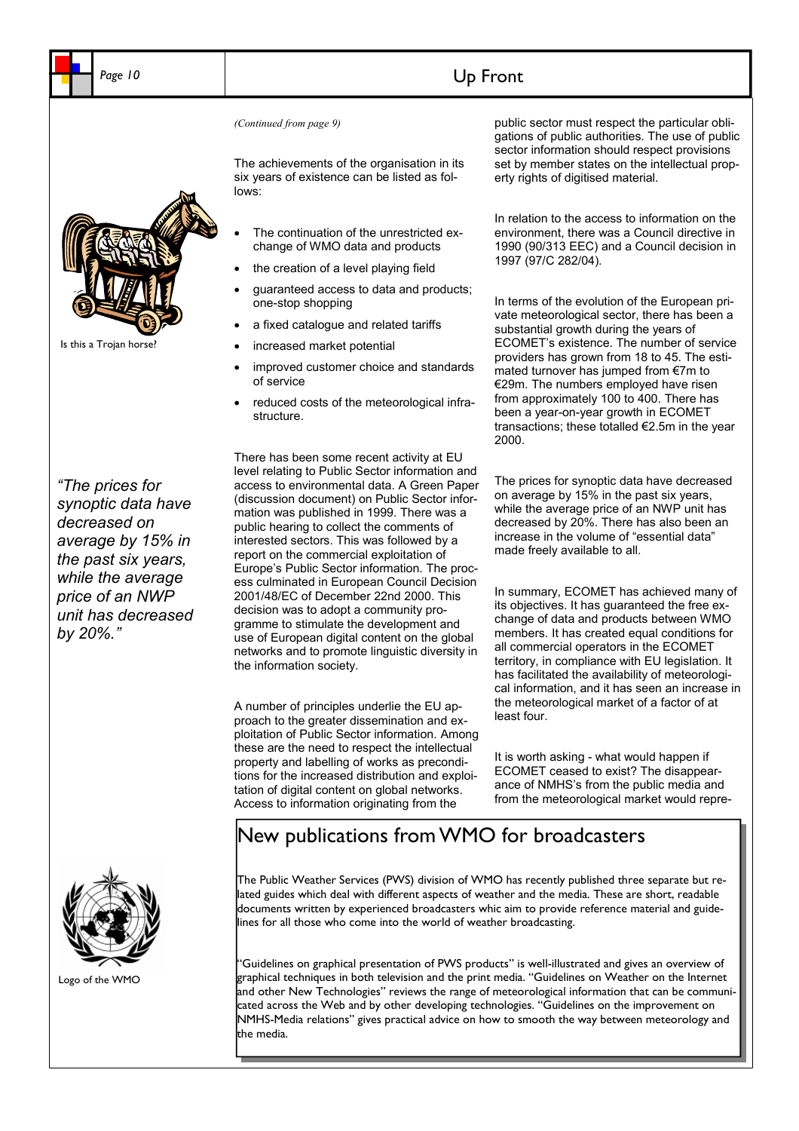## Page 10 **Up Front**

The achievements of the organisation in its six years of existence can be listed as follows:

- The continuation of the unrestricted exchange of WMO data and products
- the creation of a level playing field
- guaranteed access to data and products; one-stop shopping
- a fixed catalogue and related tariffs
- increased market potential
- improved customer choice and standards of service
- reduced costs of the meteorological infrastructure.

*"The prices for synoptic data have decreased on average by 15% in the past six years, while the average price of an NWP unit has decreased by 20%."*

There has been some recent activity at EU level relating to Public Sector information and access to environmental data. A Green Paper (discussion document) on Public Sector information was published in 1999. There was a public hearing to collect the comments of interested sectors. This was followed by a report on the commercial exploitation of Europe's Public Sector information. The process culminated in European Council Decision 2001/48/EC of December 22nd 2000. This decision was to adopt a community programme to stimulate the development and use of European digital content on the global networks and to promote linguistic diversity in the information society.

A number of principles underlie the EU approach to the greater dissemination and exploitation of Public Sector information. Among these are the need to respect the intellectual property and labelling of works as preconditions for the increased distribution and exploitation of digital content on global networks. Access to information originating from the

*(Continued from page 9)* public sector must respect the particular obligations of public authorities. The use of public sector information should respect provisions set by member states on the intellectual property rights of digitised material.

> In relation to the access to information on the environment, there was a Council directive in 1990 (90/313 EEC) and a Council decision in 1997 (97/C 282/04).

> In terms of the evolution of the European private meteorological sector, there has been a substantial growth during the years of ECOMET's existence. The number of service providers has grown from 18 to 45. The estimated turnover has jumped from €7m to €29m. The numbers employed have risen from approximately 100 to 400. There has been a year-on-year growth in ECOMET transactions; these totalled €2.5m in the year 2000.

The prices for synoptic data have decreased on average by 15% in the past six years, while the average price of an NWP unit has decreased by 20%. There has also been an increase in the volume of "essential data" made freely available to all.

In summary, ECOMET has achieved many of its objectives. It has guaranteed the free exchange of data and products between WMO members. It has created equal conditions for all commercial operators in the ECOMET territory, in compliance with EU legislation. It has facilitated the availability of meteorological information, and it has seen an increase in the meteorological market of a factor of at least four.

It is worth asking - what would happen if ECOMET ceased to exist? The disappearance of NMHS's from the public media and from the meteorological market would repre-

## New publications from WMO for broadcasters

The Public Weather Services (PWS) division of WMO has recently published three separate but related guides which deal with different aspects of weather and the media. These are short, readable documents written by experienced broadcasters whic aim to provide reference material and guidelines for all those who come into the world of weather broadcasting.

"Guidelines on graphical presentation of PWS products" is well-illustrated and gives an overview of graphical techniques in both television and the print media. "Guidelines on Weather on the Internet and other New Technologies" reviews the range of meteorological information that can be communicated across the Web and by other developing technologies. "Guidelines on the improvement on NMHS-Media relations" gives practical advice on how to smooth the way between meteorology and the media.



Logo of the WMO



Is this a Trojan horse?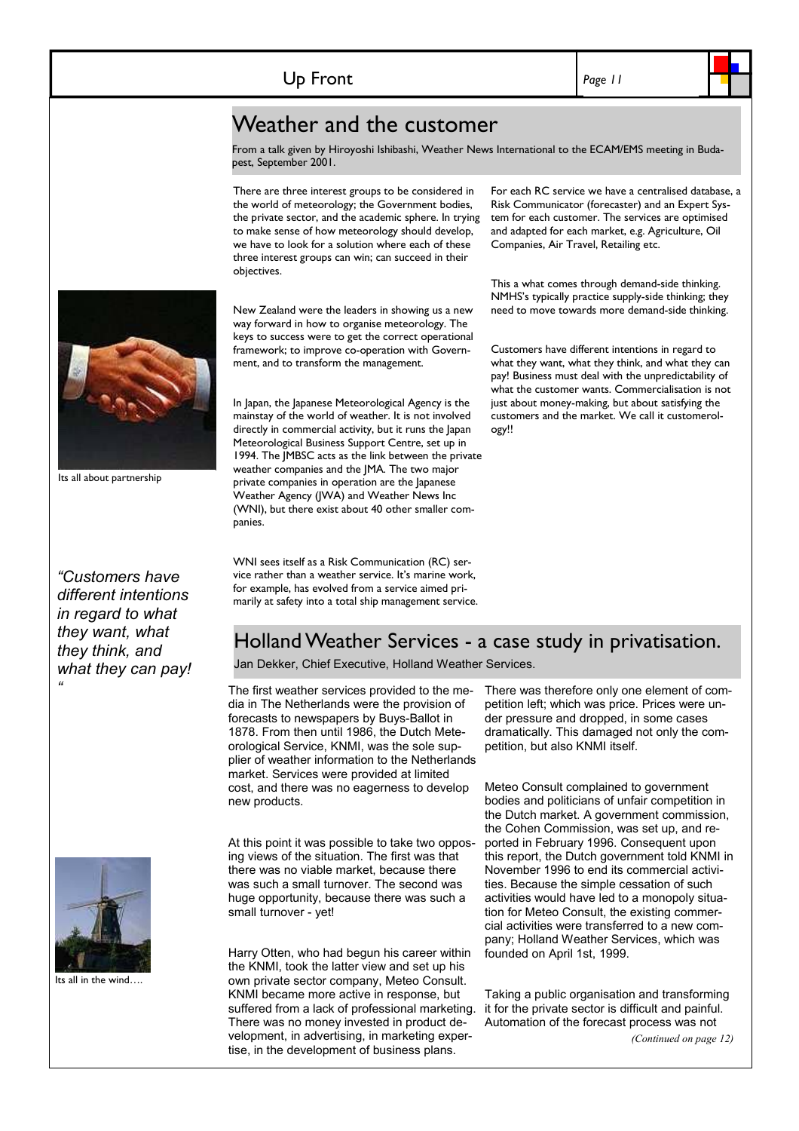*Page 11* 

## Weather and the customer

From a talk given by Hiroyoshi Ishibashi, Weather News International to the ECAM/EMS meeting in Budapest, September 2001.

There are three interest groups to be considered in the world of meteorology; the Government bodies, the private sector, and the academic sphere. In trying to make sense of how meteorology should develop, we have to look for a solution where each of these three interest groups can win; can succeed in their objectives.

New Zealand were the leaders in showing us a new way forward in how to organise meteorology. The keys to success were to get the correct operational framework; to improve co-operation with Government, and to transform the management.

In Japan, the Japanese Meteorological Agency is the mainstay of the world of weather. It is not involved directly in commercial activity, but it runs the Japan Meteorological Business Support Centre, set up in 1994. The JMBSC acts as the link between the private weather companies and the JMA. The two major private companies in operation are the Japanese Weather Agency (JWA) and Weather News Inc (WNI), but there exist about 40 other smaller companies.

WNI sees itself as a Risk Communication (RC) service rather than a weather service. It's marine work, for example, has evolved from a service aimed primarily at safety into a total ship management service. For each RC service we have a centralised database, a Risk Communicator (forecaster) and an Expert System for each customer. The services are optimised and adapted for each market, e.g. Agriculture, Oil Companies, Air Travel, Retailing etc.

This a what comes through demand-side thinking. NMHS's typically practice supply-side thinking; they need to move towards more demand-side thinking.

Customers have different intentions in regard to what they want, what they think, and what they can pay! Business must deal with the unpredictability of what the customer wants. Commercialisation is not just about money-making, but about satisfying the customers and the market. We call it customerology!!

Its all about partnership

*"Customers have different intentions in regard to what they want, what they think, and what they can pay! "* 



Its all in the wind….

Holland Weather Services - a case study in privatisation.

Jan Dekker, Chief Executive, Holland Weather Services.

The first weather services provided to the media in The Netherlands were the provision of forecasts to newspapers by Buys-Ballot in 1878. From then until 1986, the Dutch Meteorological Service, KNMI, was the sole supplier of weather information to the Netherlands market. Services were provided at limited cost, and there was no eagerness to develop new products.

At this point it was possible to take two opposing views of the situation. The first was that there was no viable market, because there was such a small turnover. The second was huge opportunity, because there was such a small turnover - yet!

Harry Otten, who had begun his career within the KNMI, took the latter view and set up his own private sector company, Meteo Consult. KNMI became more active in response, but suffered from a lack of professional marketing. There was no money invested in product development, in advertising, in marketing expertise, in the development of business plans.

There was therefore only one element of competition left; which was price. Prices were under pressure and dropped, in some cases dramatically. This damaged not only the competition, but also KNMI itself.

Meteo Consult complained to government bodies and politicians of unfair competition in the Dutch market. A government commission, the Cohen Commission, was set up, and reported in February 1996. Consequent upon this report, the Dutch government told KNMI in November 1996 to end its commercial activities. Because the simple cessation of such activities would have led to a monopoly situation for Meteo Consult, the existing commercial activities were transferred to a new company; Holland Weather Services, which was founded on April 1st, 1999.

Taking a public organisation and transforming it for the private sector is difficult and painful. Automation of the forecast process was not

*(Continued on page 12)* 

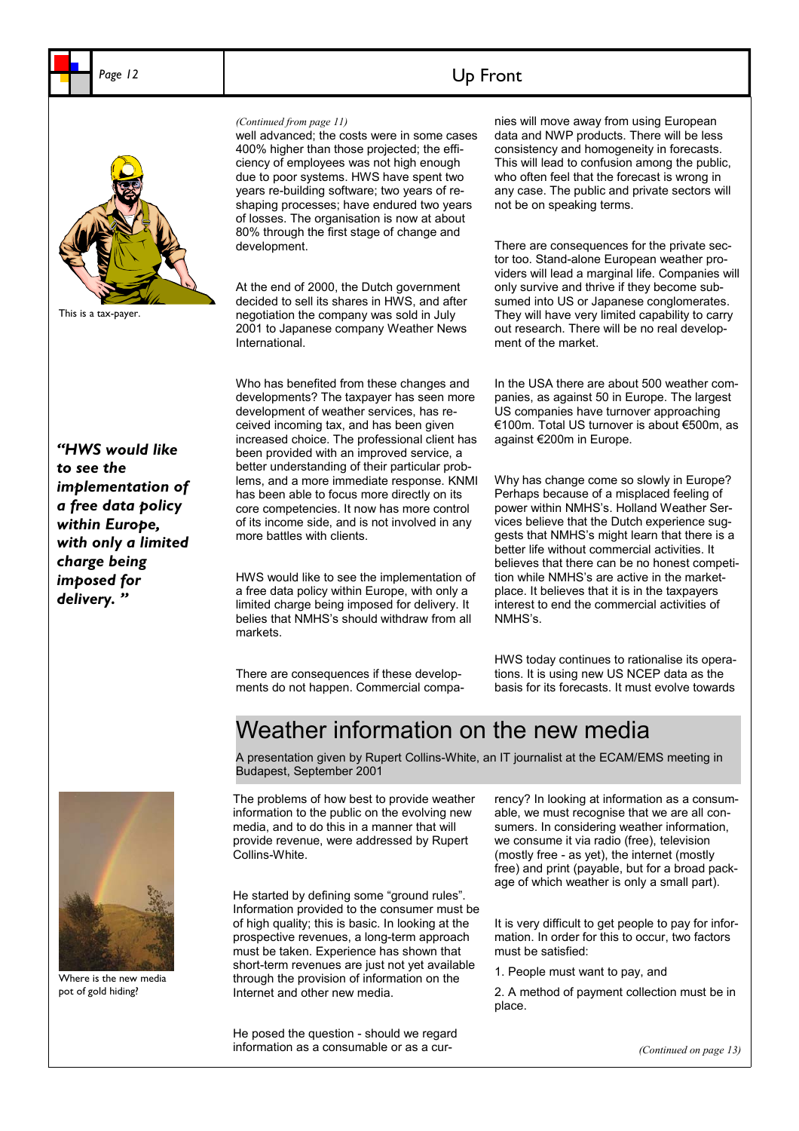

This is a tax-payer.

*"HWS would like to see the implementation of a free data policy within Europe, with only a limited charge being imposed for delivery. "* 



Where is the new media pot of gold hiding?

well advanced; the costs were in some cases 400% higher than those projected; the efficiency of employees was not high enough due to poor systems. HWS have spent two years re-building software; two years of reshaping processes; have endured two years of losses. The organisation is now at about 80% through the first stage of change and development.

At the end of 2000, the Dutch government decided to sell its shares in HWS, and after negotiation the company was sold in July 2001 to Japanese company Weather News International.

Who has benefited from these changes and developments? The taxpayer has seen more development of weather services, has received incoming tax, and has been given increased choice. The professional client has been provided with an improved service, a better understanding of their particular problems, and a more immediate response. KNMI has been able to focus more directly on its core competencies. It now has more control of its income side, and is not involved in any more battles with clients.

HWS would like to see the implementation of a free data policy within Europe, with only a limited charge being imposed for delivery. It belies that NMHS's should withdraw from all markets.

There are consequences if these developments do not happen. Commercial compa-

#### *(Continued from page 11)* **nies will move away from using European** data and NWP products. There will be less consistency and homogeneity in forecasts. This will lead to confusion among the public, who often feel that the forecast is wrong in any case. The public and private sectors will not be on speaking terms.

There are consequences for the private sector too. Stand-alone European weather providers will lead a marginal life. Companies will only survive and thrive if they become subsumed into US or Japanese conglomerates. They will have very limited capability to carry out research. There will be no real development of the market.

In the USA there are about 500 weather companies, as against 50 in Europe. The largest US companies have turnover approaching €100m. Total US turnover is about €500m, as against €200m in Europe.

Why has change come so slowly in Europe? Perhaps because of a misplaced feeling of power within NMHS's. Holland Weather Services believe that the Dutch experience suggests that NMHS's might learn that there is a better life without commercial activities. It believes that there can be no honest competition while NMHS's are active in the marketplace. It believes that it is in the taxpayers interest to end the commercial activities of NMHS's.

HWS today continues to rationalise its operations. It is using new US NCEP data as the basis for its forecasts. It must evolve towards

## Weather information on the new media

A presentation given by Rupert Collins-White, an IT journalist at the ECAM/EMS meeting in Budapest, September 2001

The problems of how best to provide weather information to the public on the evolving new media, and to do this in a manner that will provide revenue, were addressed by Rupert Collins-White.

He started by defining some "ground rules". Information provided to the consumer must be of high quality; this is basic. In looking at the prospective revenues, a long-term approach must be taken. Experience has shown that short-term revenues are just not vet available through the provision of information on the Internet and other new media.

He posed the question - should we regard information as a consumable or as a currency? In looking at information as a consumable, we must recognise that we are all consumers. In considering weather information, we consume it via radio (free), television (mostly free - as yet), the internet (mostly free) and print (payable, but for a broad package of which weather is only a small part).

It is very difficult to get people to pay for information. In order for this to occur, two factors must be satisfied:

1. People must want to pay, and

2. A method of payment collection must be in place.

*(Continued on page 13)* 

## Page 12 **Up Front**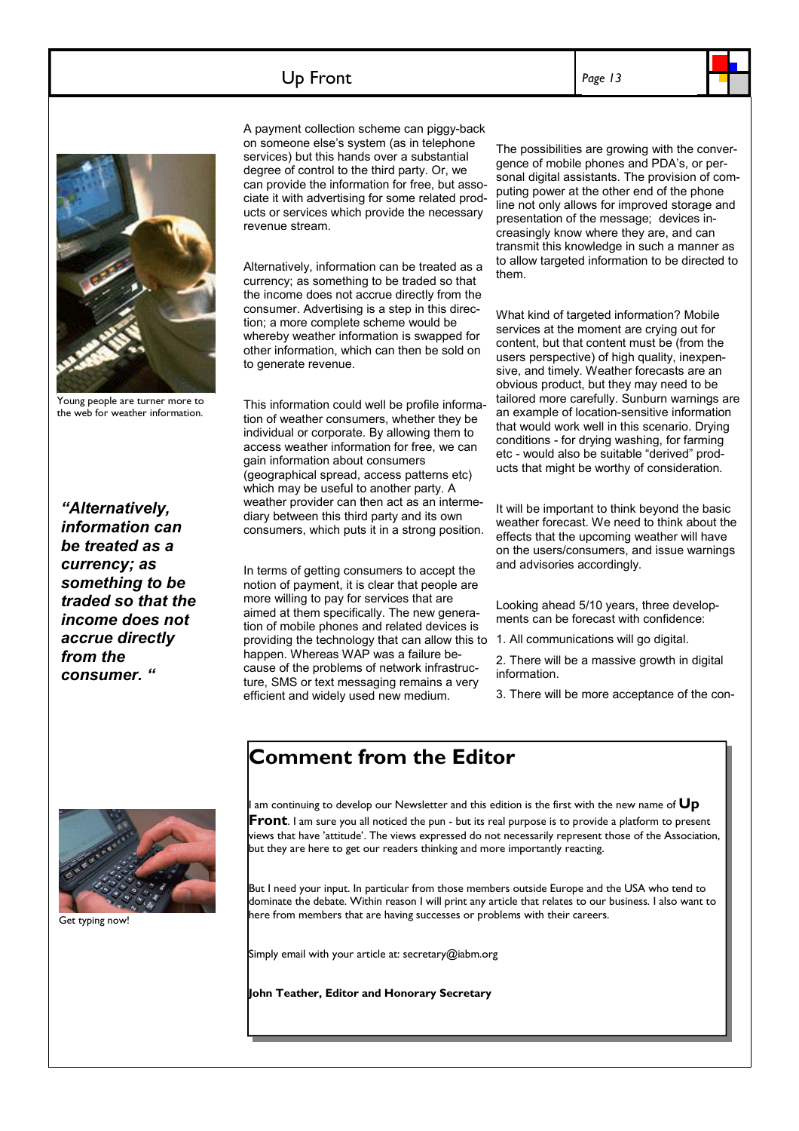## Up Front





Young people are turner more to the web for weather information.

*"Alternatively, information can be treated as a currency; as something to be traded so that the income does not accrue directly from the consumer. "*

A payment collection scheme can piggy-back on someone else's system (as in telephone services) but this hands over a substantial degree of control to the third party. Or, we can provide the information for free, but associate it with advertising for some related products or services which provide the necessary revenue stream.

Alternatively, information can be treated as a currency; as something to be traded so that the income does not accrue directly from the consumer. Advertising is a step in this direction; a more complete scheme would be whereby weather information is swapped for other information, which can then be sold on to generate revenue.

This information could well be profile information of weather consumers, whether they be individual or corporate. By allowing them to access weather information for free, we can gain information about consumers (geographical spread, access patterns etc) which may be useful to another party. A weather provider can then act as an intermediary between this third party and its own consumers, which puts it in a strong position.

In terms of getting consumers to accept the notion of payment, it is clear that people are more willing to pay for services that are aimed at them specifically. The new generation of mobile phones and related devices is providing the technology that can allow this to happen. Whereas WAP was a failure because of the problems of network infrastructure, SMS or text messaging remains a very efficient and widely used new medium.

The possibilities are growing with the convergence of mobile phones and PDA's, or personal digital assistants. The provision of computing power at the other end of the phone line not only allows for improved storage and presentation of the message; devices increasingly know where they are, and can transmit this knowledge in such a manner as to allow targeted information to be directed to them.

What kind of targeted information? Mobile services at the moment are crying out for content, but that content must be (from the users perspective) of high quality, inexpensive, and timely. Weather forecasts are an obvious product, but they may need to be tailored more carefully. Sunburn warnings are an example of location-sensitive information that would work well in this scenario. Drying conditions - for drying washing, for farming etc - would also be suitable "derived" products that might be worthy of consideration.

It will be important to think beyond the basic weather forecast. We need to think about the effects that the upcoming weather will have on the users/consumers, and issue warnings and advisories accordingly.

Looking ahead 5/10 years, three developments can be forecast with confidence:

1. All communications will go digital.

2. There will be a massive growth in digital information.

3. There will be more acceptance of the con-



Get typing now!

## **Comment from the Editor**

am continuing to develop our Newsletter and this edition is the first with the new name of Up **Front**. I am sure you all noticed the pun - but its real purpose is to provide a platform to present views that have 'attitude'. The views expressed do not necessarily represent those of the Association, but they are here to get our readers thinking and more importantly reacting.

But I need your input. In particular from those members outside Europe and the USA who tend to dominate the debate. Within reason I will print any article that relates to our business. I also want to here from members that are having successes or problems with their careers.

Simply email with your article at: secretary@iabm.org

**John Teather, Editor and Honorary Secretary**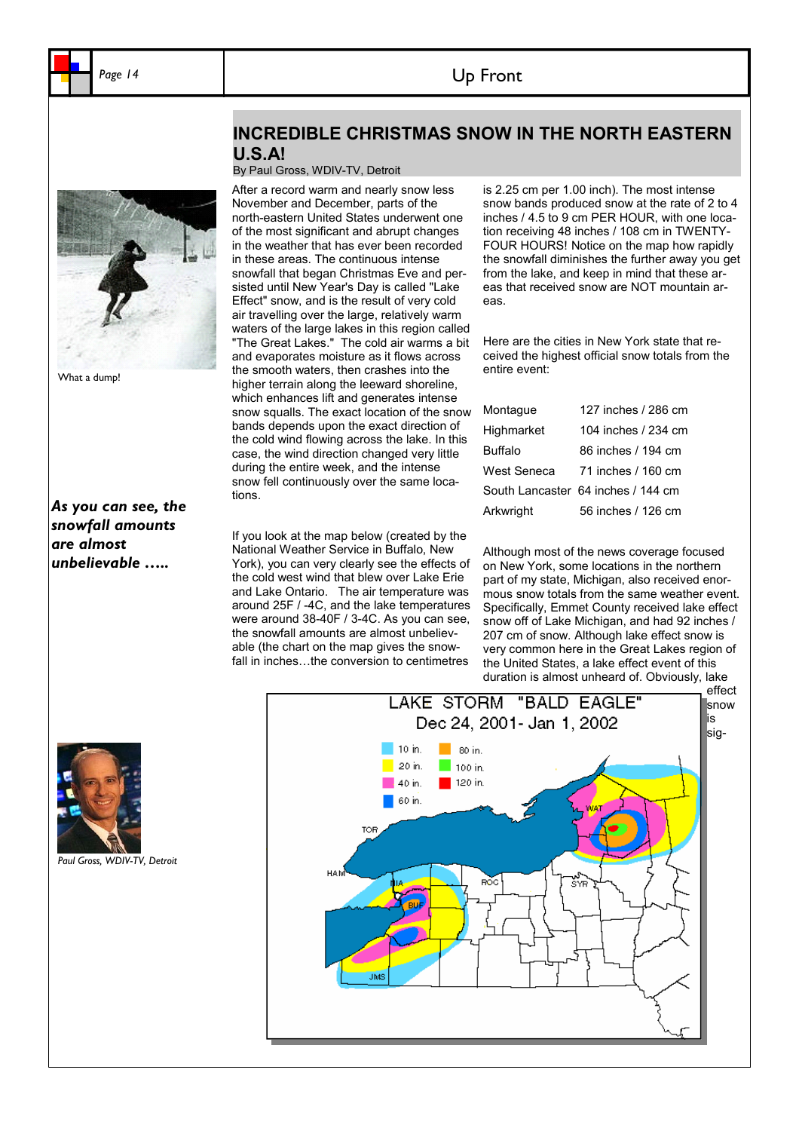## Up Front

**INCREDIBLE CHRISTMAS SNOW IN THE NORTH EASTERN** 

## **U.S.A!**  By Paul Gross, WDIV-TV, Detroit After a record warm and nearly snow less



*As you can see, the snowfall amounts are almost unbelievable …..* 

November and December, parts of the north-eastern United States underwent one of the most significant and abrupt changes in the weather that has ever been recorded in these areas. The continuous intense snowfall that began Christmas Eve and persisted until New Year's Day is called "Lake Effect" snow, and is the result of very cold air travelling over the large, relatively warm waters of the large lakes in this region called "The Great Lakes." The cold air warms a bit and evaporates moisture as it flows across the smooth waters, then crashes into the higher terrain along the leeward shoreline, which enhances lift and generates intense snow squalls. The exact location of the snow bands depends upon the exact direction of the cold wind flowing across the lake. In this case, the wind direction changed very little during the entire week, and the intense snow fell continuously over the same locations.

If you look at the map below (created by the National Weather Service in Buffalo, New York), you can very clearly see the effects of the cold west wind that blew over Lake Erie and Lake Ontario. The air temperature was around 25F / -4C, and the lake temperatures were around 38-40F / 3-4C. As you can see, the snowfall amounts are almost unbelievable (the chart on the map gives the snowfall in inches…the conversion to centimetres

is 2.25 cm per 1.00 inch). The most intense snow bands produced snow at the rate of 2 to 4 inches / 4.5 to 9 cm PER HOUR, with one location receiving 48 inches / 108 cm in TWENTY-FOUR HOURS! Notice on the map how rapidly the snowfall diminishes the further away you get from the lake, and keep in mind that these areas that received snow are NOT mountain areas.

Here are the cities in New York state that received the highest official snow totals from the entire event:

| Montague    | 127 inches / 286 cm                |
|-------------|------------------------------------|
| Highmarket  | 104 inches / 234 cm                |
| Buffalo     | 86 inches / 194 cm                 |
| West Seneca | 71 inches / 160 cm                 |
|             | South Lancaster 64 inches / 144 cm |
| Arkwright   | 56 inches / 126 cm                 |

Although most of the news coverage focused on New York, some locations in the northern part of my state, Michigan, also received enormous snow totals from the same weather event. Specifically, Emmet County received lake effect snow off of Lake Michigan, and had 92 inches / 207 cm of snow. Although lake effect snow is very common here in the Great Lakes region of the United States, a lake effect event of this duration is almost unheard of. Obviously, lake





*Paul Gross, WDIV-TV, Detroit*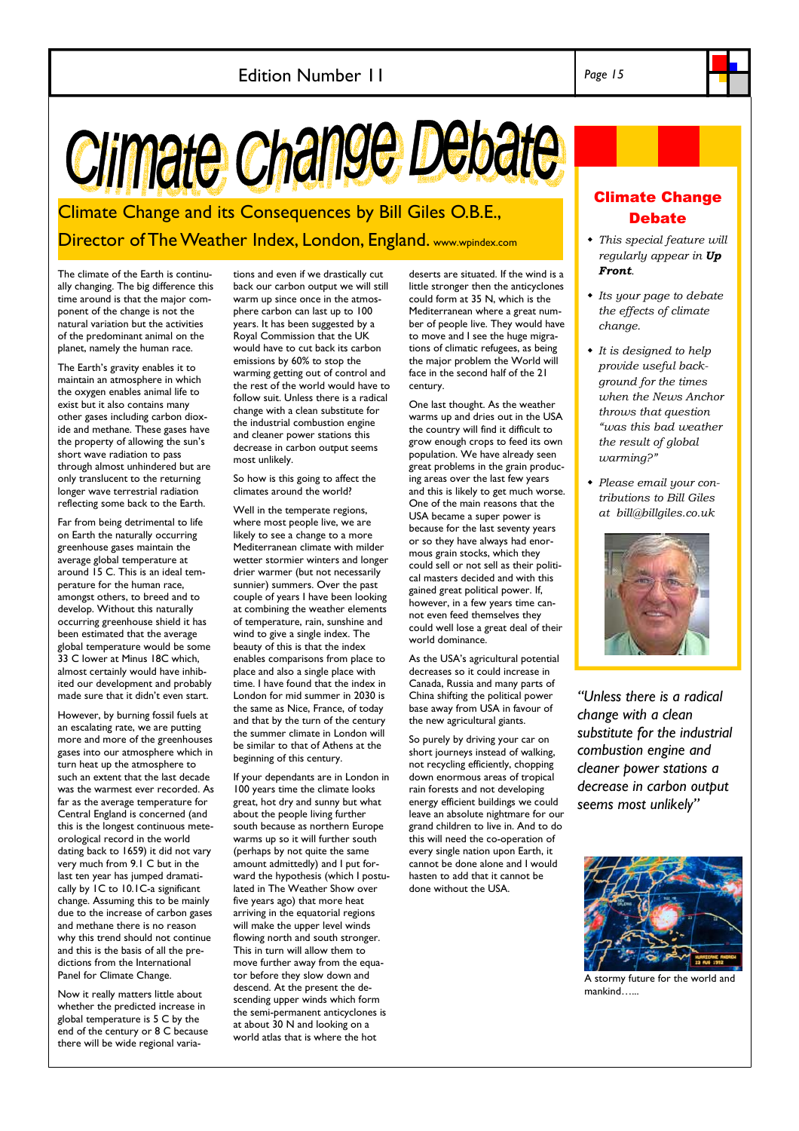# Climate Change Debate

Climate Change and its Consequences by Bill Giles O.B.E., Director of The Weather Index, London, England. www.wpindex.com

The climate of the Earth is continually changing. The big difference this time around is that the major component of the change is not the natural variation but the activities of the predominant animal on the planet, namely the human race.

The Earth's gravity enables it to maintain an atmosphere in which the oxygen enables animal life to exist but it also contains many other gases including carbon dioxide and methane. These gases have the property of allowing the sun's short wave radiation to pass through almost unhindered but are only translucent to the returning longer wave terrestrial radiation reflecting some back to the Earth.

Far from being detrimental to life on Earth the naturally occurring greenhouse gases maintain the average global temperature at around 15 C. This is an ideal temperature for the human race, amongst others, to breed and to develop. Without this naturally occurring greenhouse shield it has been estimated that the average global temperature would be some 33 C lower at Minus 18C which, almost certainly would have inhibited our development and probably made sure that it didn't even start.

However, by burning fossil fuels at an escalating rate, we are putting more and more of the greenhouses gases into our atmosphere which in turn heat up the atmosphere to such an extent that the last decade was the warmest ever recorded. As far as the average temperature for Central England is concerned (and this is the longest continuous meteorological record in the world dating back to 1659) it did not vary very much from 9.1 C but in the last ten year has jumped dramatically by 1C to 10.1C-a significant change. Assuming this to be mainly due to the increase of carbon gases and methane there is no reason why this trend should not continue and this is the basis of all the predictions from the International Panel for Climate Change.

Now it really matters little about whether the predicted increase in global temperature is 5 C by the end of the century or 8 C because there will be wide regional varia-

tions and even if we drastically cut back our carbon output we will still warm up since once in the atmosphere carbon can last up to 100 years. It has been suggested by a Royal Commission that the UK would have to cut back its carbon emissions by 60% to stop the warming getting out of control and the rest of the world would have to follow suit. Unless there is a radical change with a clean substitute for the industrial combustion engine and cleaner power stations this decrease in carbon output seems most unlikely.

So how is this going to affect the climates around the world?

Well in the temperate regions, where most people live, we are likely to see a change to a more Mediterranean climate with milder wetter stormier winters and longer drier warmer (but not necessarily sunnier) summers. Over the past couple of years I have been looking at combining the weather elements of temperature, rain, sunshine and wind to give a single index. The beauty of this is that the index enables comparisons from place to place and also a single place with time. I have found that the index in London for mid summer in 2030 is the same as Nice, France, of today and that by the turn of the century the summer climate in London will be similar to that of Athens at the beginning of this century.

If your dependants are in London in 100 years time the climate looks great, hot dry and sunny but what about the people living further south because as northern Europe warms up so it will further south (perhaps by not quite the same amount admittedly) and I put forward the hypothesis (which I postulated in The Weather Show over five years ago) that more heat arriving in the equatorial regions will make the upper level winds flowing north and south stronger. This in turn will allow them to move further away from the equator before they slow down and descend. At the present the descending upper winds which form the semi-permanent anticyclones is at about 30 N and looking on a world atlas that is where the hot

deserts are situated. If the wind is a little stronger then the anticyclones could form at 35 N, which is the Mediterranean where a great number of people live. They would have to move and I see the huge migrations of climatic refugees, as being the major problem the World will face in the second half of the 21 century.

One last thought. As the weather warms up and dries out in the USA the country will find it difficult to grow enough crops to feed its own population. We have already seen great problems in the grain producing areas over the last few years and this is likely to get much worse. One of the main reasons that the USA became a super power is because for the last seventy years or so they have always had enormous grain stocks, which they could sell or not sell as their political masters decided and with this gained great political power. If, however, in a few years time cannot even feed themselves they could well lose a great deal of their world dominance.

As the USA's agricultural potential decreases so it could increase in Canada, Russia and many parts of China shifting the political power base away from USA in favour of the new agricultural giants.

So purely by driving your car on short journeys instead of walking, not recycling efficiently, chopping down enormous areas of tropical rain forests and not developing energy efficient buildings we could leave an absolute nightmare for our grand children to live in. And to do this will need the co-operation of every single nation upon Earth, it cannot be done alone and I would hasten to add that it cannot be done without the USA.

## Climate Change **Debate**

- *This special feature will regularly appear in Up Front.*
- *Its your page to debate the effects of climate change.*
- *It is designed to help provide useful background for the times when the News Anchor throws that question "was this bad weather the result of global warming?"*
- *Please email your contributions to Bill Giles at bill@billgiles.co.uk*



*"Unless there is a radical change with a clean substitute for the industrial combustion engine and cleaner power stations a decrease in carbon output seems most unlikely"*



A stormy future for the world and mankind…...